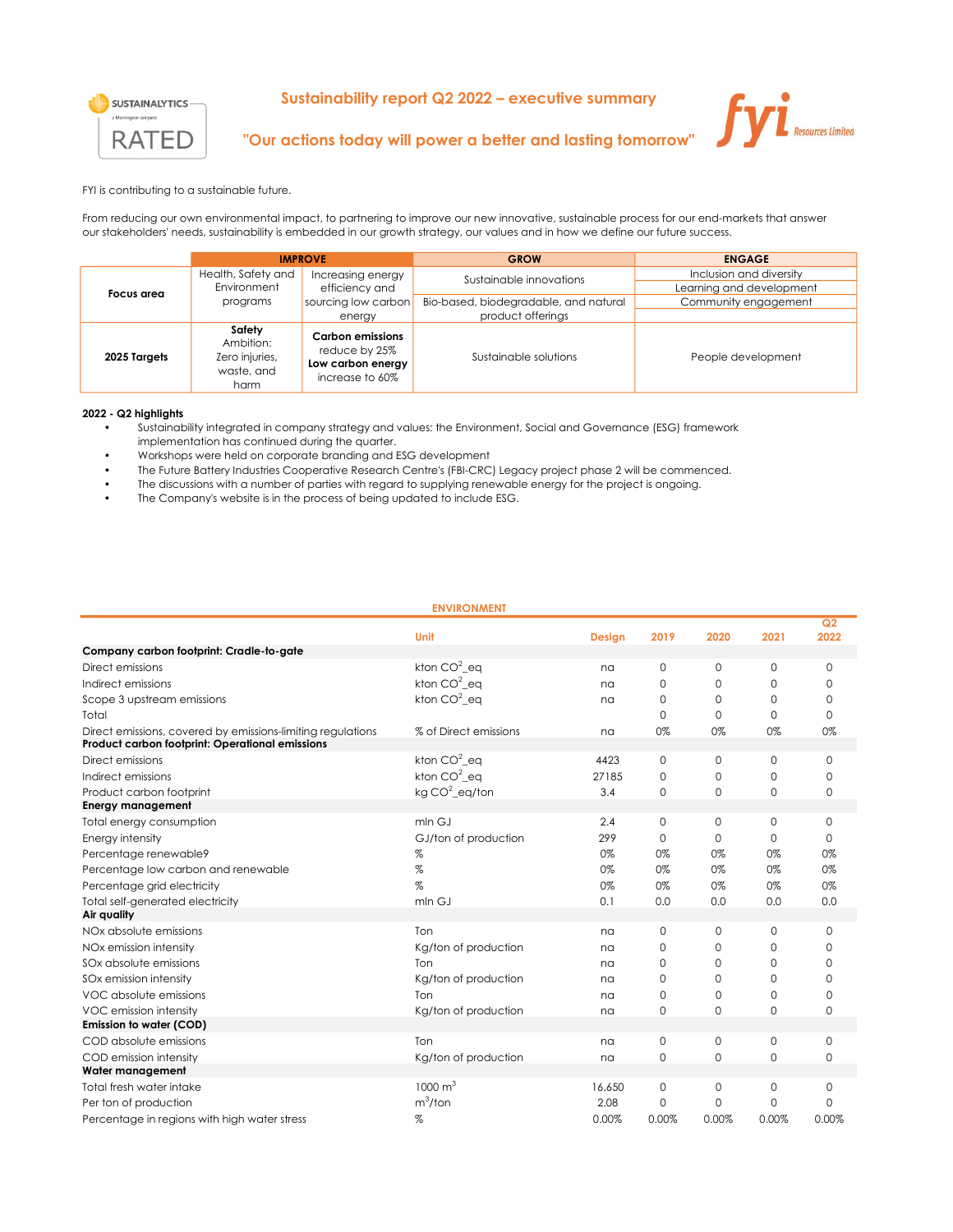

## Sustainability report Q2 2022 – executive summary



## "Our actions today will power a better and lasting tomorrow"

FYI is contributing to a sustainable future.

From reducing our own environmental impact, to partnering to improve our new innovative, sustainable process for our end-markets that answer our stakeholders' needs, sustainability is embedded in our growth strategy, our values and in how we define our future success.

|              | <b>IMPROVE</b>                                              |                                                                                  | <b>GROW</b>                           | <b>ENGAGE</b>            |  |  |
|--------------|-------------------------------------------------------------|----------------------------------------------------------------------------------|---------------------------------------|--------------------------|--|--|
| Focus area   | Health, Safety and                                          | Increasing energy                                                                | Sustainable innovations               | Inclusion and diversity  |  |  |
|              | Environment                                                 | efficiency and                                                                   |                                       | Learning and development |  |  |
|              | programs                                                    | sourcing low carbon                                                              | Bio-based, biodegradable, and natural | Community engagement     |  |  |
|              |                                                             | energy                                                                           | product offerings                     |                          |  |  |
| 2025 Targets | Safety<br>Ambition:<br>Zero injuries,<br>waste, and<br>harm | <b>Carbon emissions</b><br>reduce by 25%<br>Low carbon energy<br>increase to 60% | Sustainable solutions                 | People development       |  |  |

## 2022 - Q2 highlights

- Sustainability integrated in company strategy and values: the Environment, Social and Governance (ESG) framework
- implementation has continued during the quarter.
- Workshops were held on corporate branding and ESG development
- The Future Battery Industries Cooperative Research Centre's (FBI-CRC) Legacy project phase 2 will be commenced.
- The discussions with a number of parties with regard to supplying renewable energy for the project is ongoing.
- The Company's website is in the process of being updated to include ESG.

| <b>ENVIRONMENT</b>                                          |                       |               |             |          |             |             |  |
|-------------------------------------------------------------|-----------------------|---------------|-------------|----------|-------------|-------------|--|
|                                                             | Unit                  | <b>Design</b> | 2019        | 2020     | 2021        | Q2<br>2022  |  |
| Company carbon footprint: Cradle-to-gate                    |                       |               |             |          |             |             |  |
| Direct emissions                                            | kton $CO2$ eq         | na            | 0           | 0        | 0           | $\mathbf 0$ |  |
| Indirect emissions                                          | kton $CO2$ eq         | na            | $\Omega$    | 0        | 0           | $\Omega$    |  |
| Scope 3 upstream emissions                                  | kton $CO2$ eq         | na            | $\circ$     | 0        | 0           | $\mathbf 0$ |  |
| Total                                                       |                       |               | $\Omega$    | $\Omega$ | $\Omega$    | $\Omega$    |  |
| Direct emissions, covered by emissions-limiting regulations | % of Direct emissions | na            | 0%          | 0%       | 0%          | 0%          |  |
| Product carbon footprint: Operational emissions             |                       |               |             |          |             |             |  |
| Direct emissions                                            | kton $CO2$ eq         | 4423          | $\mathbf 0$ | 0        | 0           | $\Omega$    |  |
| Indirect emissions                                          | kton $CO^2$ eq        | 27185         | $\mathbf 0$ | 0        | 0           | $\mathbf 0$ |  |
| Product carbon footprint                                    | kg $CO2$ eg/ton       | 3.4           | $\circ$     | 0        | $\Omega$    | $\mathbf 0$ |  |
| <b>Energy management</b>                                    |                       |               |             |          |             |             |  |
| Total energy consumption                                    | mln GJ                | 2.4           | $\circ$     | 0        | 0           | $\mathbf 0$ |  |
| Energy intensity                                            | GJ/ton of production  | 299           | $\circ$     | 0        | $\mathbf 0$ | $\Omega$    |  |
| Percentage renewable9                                       | %                     | 0%            | 0%          | 0%       | 0%          | 0%          |  |
| Percentage low carbon and renewable                         | %                     | 0%            | 0%          | 0%       | 0%          | 0%          |  |
| Percentage grid electricity                                 | $\%$                  | 0%            | 0%          | 0%       | 0%          | 0%          |  |
| Total self-generated electricity                            | mln GJ                | 0.1           | 0.0         | 0.0      | 0.0         | 0.0         |  |
| Air quality                                                 |                       |               |             |          |             |             |  |
| NO <sub>x</sub> absolute emissions                          | Ton                   | na            | $\mathbf 0$ | 0        | 0           | $\Omega$    |  |
| NOx emission intensity                                      | Kg/ton of production  | na            | $\Omega$    | $\Omega$ | $\Omega$    | $\Omega$    |  |
| SOx absolute emissions                                      | Ton                   | na            | $\circ$     | 0        | 0           | $\Omega$    |  |
| SOx emission intensity                                      | Kg/ton of production  | na            | $\mathbf 0$ | 0        | 0           | $\Omega$    |  |
| VOC absolute emissions                                      | Ton                   | na            | $\Omega$    | 0        | 0           | $\Omega$    |  |
| VOC emission intensity                                      | Kg/ton of production  | na            | $\circ$     | 0        | 0           | 0           |  |
| Emission to water (COD)                                     |                       |               |             |          |             |             |  |
| COD absolute emissions                                      | Ton                   | na            | $\circ$     | 0        | 0           | $\mathbf 0$ |  |
| COD emission intensity                                      | Kg/ton of production  | na            | $\mathbf 0$ | 0        | $\mathbf 0$ | 0           |  |
| Water management                                            |                       |               |             |          |             |             |  |
| Total fresh water intake                                    | $1000 \text{ m}^3$    | 16,650        | $\mathbf 0$ | 0        | 0           | $\mathbf 0$ |  |
| Per ton of production                                       | $m^3$ /ton            | 2.08          | $\Omega$    | 0        | $\Omega$    | $\Omega$    |  |
| Percentage in regions with high water stress                | %                     | 0.00%         | 0.00%       | 0.00%    | 0.00%       | 0.00%       |  |